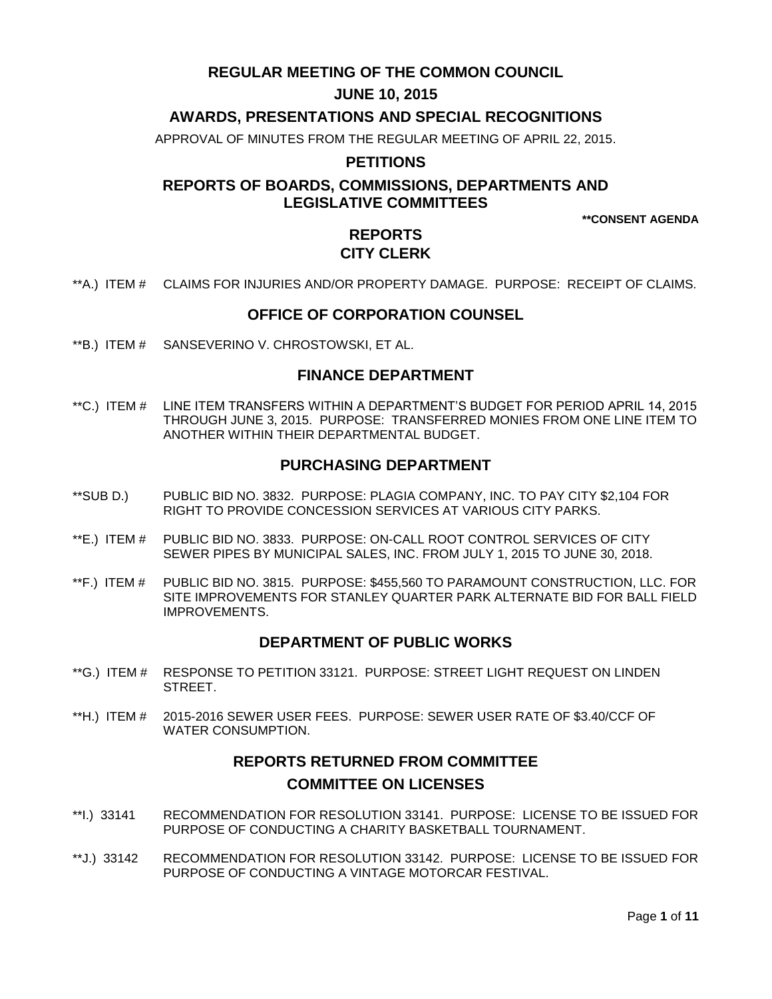# **REGULAR MEETING OF THE COMMON COUNCIL**

# **JUNE 10, 2015**

# **AWARDS, PRESENTATIONS AND SPECIAL RECOGNITIONS**

APPROVAL OF MINUTES FROM THE REGULAR MEETING OF APRIL 22, 2015.

### **PETITIONS**

# **REPORTS OF BOARDS, COMMISSIONS, DEPARTMENTS AND LEGISLATIVE COMMITTEES**

**\*\*CONSENT AGENDA**

# **REPORTS CITY CLERK**

\*\*A.) ITEM # [CLAIMS FOR INJURIES AND/OR PROPERTY DAMAGE. PURPOSE: RECEIPT OF CLAIMS.](#page-2-0)

### **OFFICE OF CORPORATION COUNSEL**

\*\*B.) ITEM # SANSEVERINO [V. CHROSTOWSKI, ET AL.](#page-2-1)

### **FINANCE DEPARTMENT**

\*\*C.) ITEM # [LINE ITEM TRANSFERS WITHIN A DEPARTMENT'S BUDGET FOR PERIOD APRIL 14, 2015](#page-3-0)  [THROUGH JUNE 3, 2015. PURPOSE: TRANSFERRED MONIES FROM ONE LINE ITEM TO](#page-3-0)  [ANOTHER WITHIN THEIR DEPARTMENTAL BUDGET.](#page-3-0)

# **PURCHASING DEPARTMENT**

- [\\*\\*SUB D.\) PUBLIC BID NO. 3832. PURPOSE: PLAGIA COMPANY, INC. TO PAY CITY \\$2,104](#page-3-1) FOR [RIGHT TO PROVIDE CONCESSION SERVICES AT VARIOUS CITY PARKS.](#page-3-1)
- \*\*E.) ITEM # [PUBLIC BID NO. 3833. PURPOSE: ON-CALL ROOT CONTROL SERVICES](#page-4-0) OF CITY SEWER PIPES [BY MUNICIPAL SALES, INC. FROM JULY 1, 2015 TO JUNE 30, 2018.](#page-4-0)
- \*\*F.) ITEM # [PUBLIC BID NO. 3815. PURPOSE: \\$455,560 TO PARAMOUNT CONSTRUCTION, LLC. FOR](#page-4-1)  SITE IMPROVEMENTS FOR [STANLEY QUARTER PARK ALTERNATE BID FOR BALL FIELD](#page-4-1)  [IMPROVEMENTS.](#page-4-1)

### **DEPARTMENT OF PUBLIC WORKS**

- \*\*G.) ITEM # [RESPONSE TO PETITION 33121. PURPOSE: STREET](#page-5-0) LIGHT REQUEST ON LINDEN **STREET**
- \*\*H.) ITEM # [2015-2016 SEWER USER FEES. PURPOSE: SEWER USER RATE OF \\$3.40/CCF OF](#page-5-1)  [WATER CONSUMPTION.](#page-5-1)

# **REPORTS RETURNED FROM COMMITTEE COMMITTEE ON LICENSES**

- \*\*I.) 33141 [RECOMMENDATION FOR RESOLUTION 33141. PURPOSE: LICENSE TO BE ISSUED FOR](#page-6-0)  PURPOSE OF CONDUCTING [A CHARITY BASKETBALL TOURNAMENT.](#page-6-0)
- \*\*J.) 33142 [RECOMMENDATION FOR RESOLUTION 33142. PURPOSE: LICENSE TO BE ISSUED](#page-6-1) FOR [PURPOSE OF CONDUCTING A VINTAGE MOTORCAR FESTIVAL.](#page-6-1)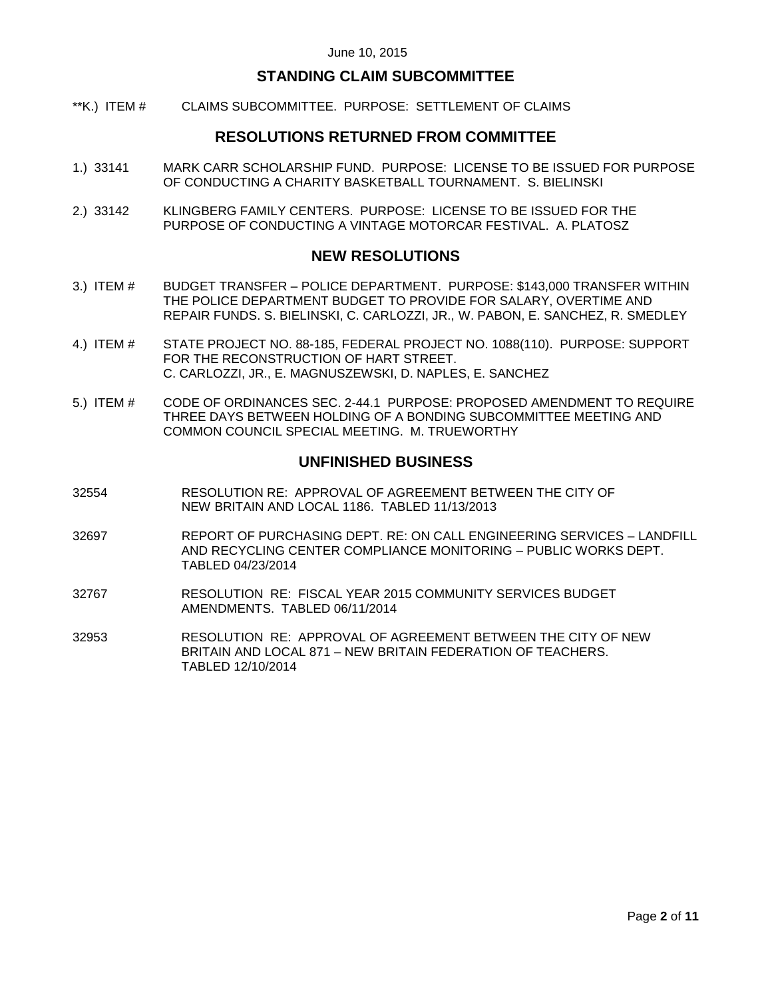### **STANDING CLAIM SUBCOMMITTEE**

\*\*K.) ITEM # [CLAIMS SUBCOMMITTEE. PURPOSE: SETTLEMENT OF CLAIMS](#page-6-2)

### **RESOLUTIONS RETURNED FROM COMMITTEE**

- 1.) 33141 [MARK CARR SCHOLARSHIP FUND. PURPOSE: LICENSE TO BE ISSUED FOR PURPOSE](#page-7-0)  [OF CONDUCTING A CHARITY BASKETBALL TOURNAMENT. S. BIELINSKI](#page-7-0)
- 2.) 33142 [KLINGBERG FAMILY CENTERS. PURPOSE: LICENSE TO BE ISSUED FOR THE](#page-7-1)  [PURPOSE OF CONDUCTING A VINTAGE MOTORCAR FESTIVAL. A. PLATOSZ](#page-7-1)

### **NEW RESOLUTIONS**

- 3.) ITEM # BUDGET TRANSFER [POLICE DEPARTMENT. PURPOSE: \\$143,000 TRANSFER](#page-7-2) WITHIN THE POLICE DEPARTMENT BUDGET [TO PROVIDE FOR SALARY, OVERTIME AND](#page-7-2)  [REPAIR FUNDS. S. BIELINSKI, C. CARLOZZI, JR., W. PABON, E. SANCHEZ, R. SMEDLEY](#page-7-2)
- 4.) ITEM # [STATE PROJECT NO. 88-185, FEDERAL PROJECT NO. 1088\(110\). PURPOSE: SUPPORT](#page-8-0)  [FOR THE RECONSTRUCTION OF HART STREET.](#page-8-0)  [C. CARLOZZI, JR., E. MAGNUSZEWSKI, D. NAPLES, E. SANCHEZ](#page-8-0)
- 5.) ITEM # [CODE OF ORDINANCES SEC. 2-44.1 PURPOSE: PROPOSED AMENDMENT TO REQUIRE](#page-9-0)  [THREE DAYS BETWEEN HOLDING OF A BONDING SUBCOMMITTEE MEETING AND](#page-9-0)  [COMMON COUNCIL SPECIAL MEETING. M. TRUEWORTHY](#page-9-0)

### **UNFINISHED BUSINESS**

- 32554 RESOLUTION RE: APPROVAL OF AGREEMENT BETWEEN THE CITY OF NEW BRITAIN AND LOCAL 1186. TABLED 11/13/2013
- 32697 REPORT OF PURCHASING DEPT. RE: ON CALL ENGINEERING SERVICES LANDFILL AND RECYCLING CENTER COMPLIANCE MONITORING – PUBLIC WORKS DEPT. TABLED 04/23/2014
- 32767 RESOLUTION RE: FISCAL YEAR 2015 COMMUNITY SERVICES BUDGET AMENDMENTS. TABLED 06/11/2014
- 32953 RESOLUTION RE: APPROVAL OF AGREEMENT BETWEEN THE CITY OF NEW BRITAIN AND LOCAL 871 – NEW BRITAIN FEDERATION OF TEACHERS. TABLED 12/10/2014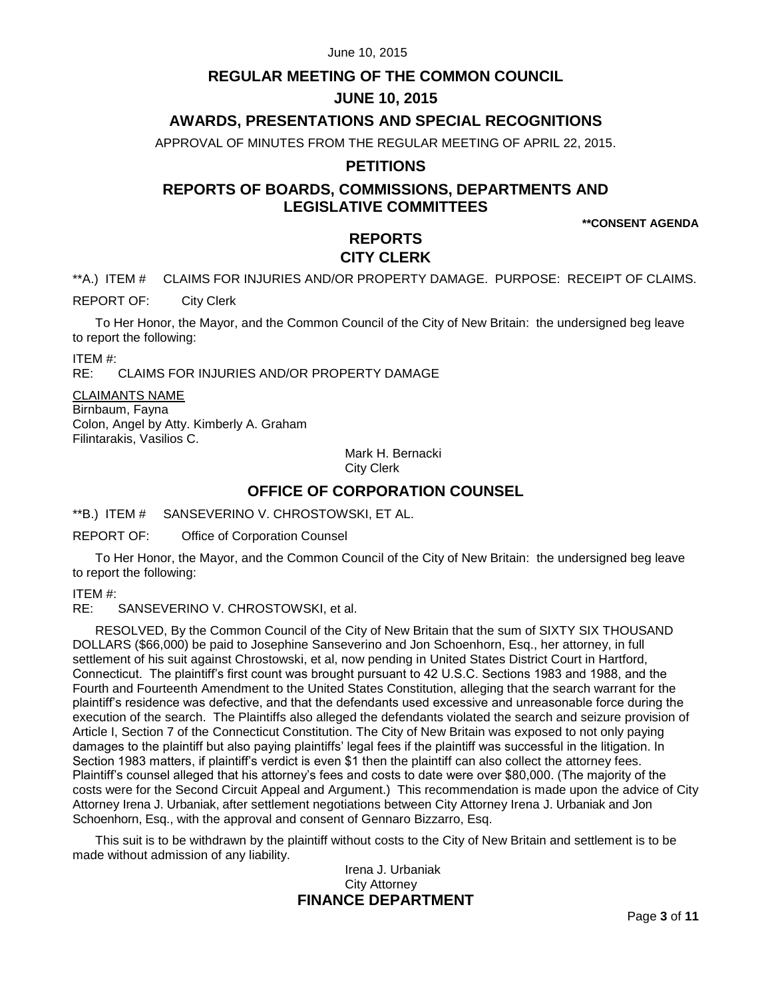# **REGULAR MEETING OF THE COMMON COUNCIL**

# **JUNE 10, 2015**

## **AWARDS, PRESENTATIONS AND SPECIAL RECOGNITIONS**

APPROVAL OF MINUTES FROM THE REGULAR MEETING OF APRIL 22, 2015.

### **PETITIONS**

# **REPORTS OF BOARDS, COMMISSIONS, DEPARTMENTS AND LEGISLATIVE COMMITTEES**

**\*\*CONSENT AGENDA**

# **REPORTS CITY CLERK**

<span id="page-2-0"></span>\*\*A.) ITEM # CLAIMS FOR INJURIES AND/OR PROPERTY DAMAGE. PURPOSE: RECEIPT OF CLAIMS.

REPORT OF: City Clerk

To Her Honor, the Mayor, and the Common Council of the City of New Britain: the undersigned beg leave to report the following:

ITEM #:

RE: CLAIMS FOR INJURIES AND/OR PROPERTY DAMAGE

CLAIMANTS NAME Birnbaum, Fayna Colon, Angel by Atty. Kimberly A. Graham Filintarakis, Vasilios C.

Mark H. Bernacki

City Clerk

### **OFFICE OF CORPORATION COUNSEL**

<span id="page-2-1"></span>\*\*B.) ITEM # SANSEVERINO V. CHROSTOWSKI, ET AL.

REPORT OF: Office of Corporation Counsel

To Her Honor, the Mayor, and the Common Council of the City of New Britain: the undersigned beg leave to report the following:

ITEM #:

RE: SANSEVERINO V. CHROSTOWSKI, et al.

RESOLVED, By the Common Council of the City of New Britain that the sum of SIXTY SIX THOUSAND DOLLARS (\$66,000) be paid to Josephine Sanseverino and Jon Schoenhorn, Esq., her attorney, in full settlement of his suit against Chrostowski, et al, now pending in United States District Court in Hartford, Connecticut. The plaintiff's first count was brought pursuant to 42 U.S.C. Sections 1983 and 1988, and the Fourth and Fourteenth Amendment to the United States Constitution, alleging that the search warrant for the plaintiff's residence was defective, and that the defendants used excessive and unreasonable force during the execution of the search. The Plaintiffs also alleged the defendants violated the search and seizure provision of Article I, Section 7 of the Connecticut Constitution. The City of New Britain was exposed to not only paying damages to the plaintiff but also paying plaintiffs' legal fees if the plaintiff was successful in the litigation. In Section 1983 matters, if plaintiff's verdict is even \$1 then the plaintiff can also collect the attorney fees. Plaintiff's counsel alleged that his attorney's fees and costs to date were over \$80,000. (The majority of the costs were for the Second Circuit Appeal and Argument.) This recommendation is made upon the advice of City Attorney Irena J. Urbaniak, after settlement negotiations between City Attorney Irena J. Urbaniak and Jon Schoenhorn, Esq., with the approval and consent of Gennaro Bizzarro, Esq.

This suit is to be withdrawn by the plaintiff without costs to the City of New Britain and settlement is to be made without admission of any liability.

### Irena J. Urbaniak City Attorney **FINANCE DEPARTMENT**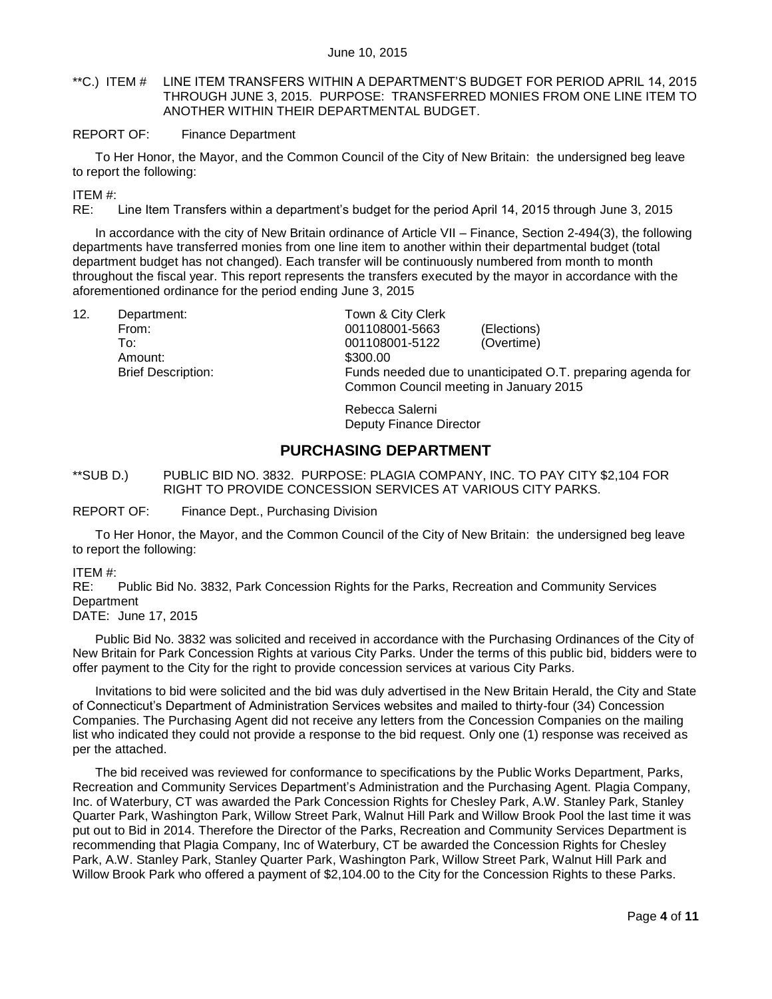### <span id="page-3-0"></span>\*\*C.) ITEM # LINE ITEM TRANSFERS WITHIN A DEPARTMENT'S BUDGET FOR PERIOD APRIL 14, 2015 THROUGH JUNE 3, 2015. PURPOSE: TRANSFERRED MONIES FROM ONE LINE ITEM TO ANOTHER WITHIN THEIR DEPARTMENTAL BUDGET.

#### REPORT OF: Finance Department

To Her Honor, the Mayor, and the Common Council of the City of New Britain: the undersigned beg leave to report the following:

ITEM #:

RE: Line Item Transfers within a department's budget for the period April 14, 2015 through June 3, 2015

In accordance with the city of New Britain ordinance of Article VII – Finance, Section 2-494(3), the following departments have transferred monies from one line item to another within their departmental budget (total department budget has not changed). Each transfer will be continuously numbered from month to month throughout the fiscal year. This report represents the transfers executed by the mayor in accordance with the aforementioned ordinance for the period ending June 3, 2015

12. Department: Town & City Clerk

Amount: \$300.00

From: 001108001-5663 (Elections) To: 001108001-5122 (Overtime) Brief Description: Funds needed due to unanticipated O.T. preparing agenda for Common Council meeting in January 2015

> Rebecca Salerni Deputy Finance Director

### **PURCHASING DEPARTMENT**

<span id="page-3-1"></span>\*\*SUB D.) PUBLIC BID NO. 3832. PURPOSE: PLAGIA COMPANY, INC. TO PAY CITY \$2,104 FOR RIGHT TO PROVIDE CONCESSION SERVICES AT VARIOUS CITY PARKS.

REPORT OF: Finance Dept., Purchasing Division

To Her Honor, the Mayor, and the Common Council of the City of New Britain: the undersigned beg leave to report the following:

#### ITEM #:

RE: Public Bid No. 3832, Park Concession Rights for the Parks, Recreation and Community Services **Department** 

DATE: June 17, 2015

Public Bid No. 3832 was solicited and received in accordance with the Purchasing Ordinances of the City of New Britain for Park Concession Rights at various City Parks. Under the terms of this public bid, bidders were to offer payment to the City for the right to provide concession services at various City Parks.

Invitations to bid were solicited and the bid was duly advertised in the New Britain Herald, the City and State of Connecticut's Department of Administration Services websites and mailed to thirty-four (34) Concession Companies. The Purchasing Agent did not receive any letters from the Concession Companies on the mailing list who indicated they could not provide a response to the bid request. Only one (1) response was received as per the attached.

The bid received was reviewed for conformance to specifications by the Public Works Department, Parks, Recreation and Community Services Department's Administration and the Purchasing Agent. Plagia Company, Inc. of Waterbury, CT was awarded the Park Concession Rights for Chesley Park, A.W. Stanley Park, Stanley Quarter Park, Washington Park, Willow Street Park, Walnut Hill Park and Willow Brook Pool the last time it was put out to Bid in 2014. Therefore the Director of the Parks, Recreation and Community Services Department is recommending that Plagia Company, Inc of Waterbury, CT be awarded the Concession Rights for Chesley Park, A.W. Stanley Park, Stanley Quarter Park, Washington Park, Willow Street Park, Walnut Hill Park and Willow Brook Park who offered a payment of \$2,104.00 to the City for the Concession Rights to these Parks.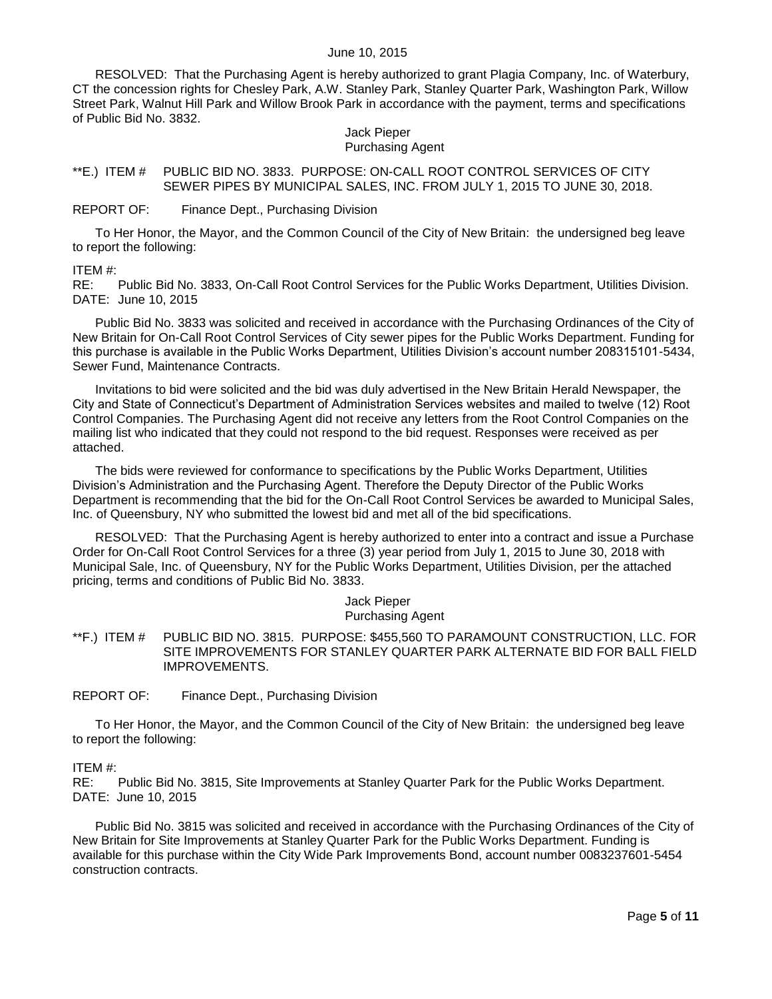RESOLVED: That the Purchasing Agent is hereby authorized to grant Plagia Company, Inc. of Waterbury, CT the concession rights for Chesley Park, A.W. Stanley Park, Stanley Quarter Park, Washington Park, Willow Street Park, Walnut Hill Park and Willow Brook Park in accordance with the payment, terms and specifications of Public Bid No. 3832.

# Jack Pieper

#### Purchasing Agent

<span id="page-4-0"></span>\*\*E.) ITEM # PUBLIC BID NO. 3833. PURPOSE: ON-CALL ROOT CONTROL SERVICES OF CITY SEWER PIPES BY MUNICIPAL SALES, INC. FROM JULY 1, 2015 TO JUNE 30, 2018.

#### REPORT OF: Finance Dept., Purchasing Division

To Her Honor, the Mayor, and the Common Council of the City of New Britain: the undersigned beg leave to report the following:

#### ITEM #:

RE: Public Bid No. 3833, On-Call Root Control Services for the Public Works Department, Utilities Division. DATE: June 10, 2015

Public Bid No. 3833 was solicited and received in accordance with the Purchasing Ordinances of the City of New Britain for On-Call Root Control Services of City sewer pipes for the Public Works Department. Funding for this purchase is available in the Public Works Department, Utilities Division's account number 208315101-5434, Sewer Fund, Maintenance Contracts.

Invitations to bid were solicited and the bid was duly advertised in the New Britain Herald Newspaper, the City and State of Connecticut's Department of Administration Services websites and mailed to twelve (12) Root Control Companies. The Purchasing Agent did not receive any letters from the Root Control Companies on the mailing list who indicated that they could not respond to the bid request. Responses were received as per attached.

The bids were reviewed for conformance to specifications by the Public Works Department, Utilities Division's Administration and the Purchasing Agent. Therefore the Deputy Director of the Public Works Department is recommending that the bid for the On-Call Root Control Services be awarded to Municipal Sales, Inc. of Queensbury, NY who submitted the lowest bid and met all of the bid specifications.

RESOLVED: That the Purchasing Agent is hereby authorized to enter into a contract and issue a Purchase Order for On-Call Root Control Services for a three (3) year period from July 1, 2015 to June 30, 2018 with Municipal Sale, Inc. of Queensbury, NY for the Public Works Department, Utilities Division, per the attached pricing, terms and conditions of Public Bid No. 3833.

#### Jack Pieper Purchasing Agent

<span id="page-4-1"></span>\*\*F.) ITEM # PUBLIC BID NO. 3815. PURPOSE: \$455,560 TO PARAMOUNT CONSTRUCTION, LLC. FOR SITE IMPROVEMENTS FOR STANLEY QUARTER PARK ALTERNATE BID FOR BALL FIELD IMPROVEMENTS.

REPORT OF: Finance Dept., Purchasing Division

To Her Honor, the Mayor, and the Common Council of the City of New Britain: the undersigned beg leave to report the following:

#### ITEM #:

RE: Public Bid No. 3815, Site Improvements at Stanley Quarter Park for the Public Works Department. DATE: June 10, 2015

Public Bid No. 3815 was solicited and received in accordance with the Purchasing Ordinances of the City of New Britain for Site Improvements at Stanley Quarter Park for the Public Works Department. Funding is available for this purchase within the City Wide Park Improvements Bond, account number 0083237601-5454 construction contracts.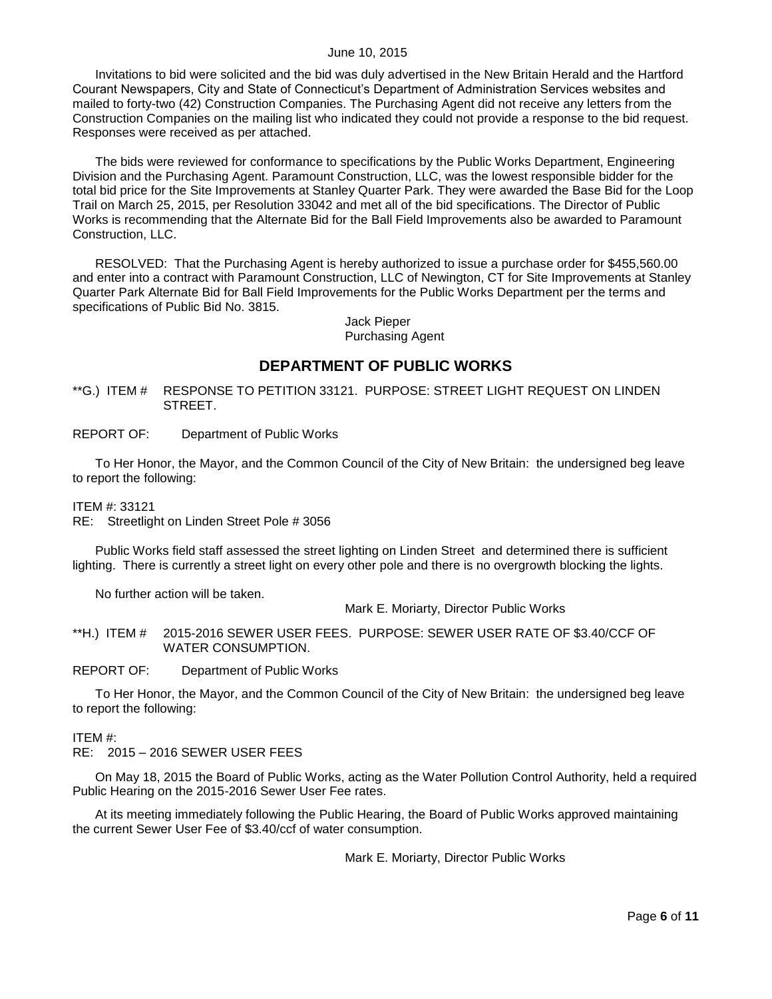Invitations to bid were solicited and the bid was duly advertised in the New Britain Herald and the Hartford Courant Newspapers, City and State of Connecticut's Department of Administration Services websites and mailed to forty-two (42) Construction Companies. The Purchasing Agent did not receive any letters from the Construction Companies on the mailing list who indicated they could not provide a response to the bid request. Responses were received as per attached.

The bids were reviewed for conformance to specifications by the Public Works Department, Engineering Division and the Purchasing Agent. Paramount Construction, LLC, was the lowest responsible bidder for the total bid price for the Site Improvements at Stanley Quarter Park. They were awarded the Base Bid for the Loop Trail on March 25, 2015, per Resolution 33042 and met all of the bid specifications. The Director of Public Works is recommending that the Alternate Bid for the Ball Field Improvements also be awarded to Paramount Construction, LLC.

RESOLVED: That the Purchasing Agent is hereby authorized to issue a purchase order for \$455,560.00 and enter into a contract with Paramount Construction, LLC of Newington, CT for Site Improvements at Stanley Quarter Park Alternate Bid for Ball Field Improvements for the Public Works Department per the terms and specifications of Public Bid No. 3815.

> Jack Pieper Purchasing Agent

### **DEPARTMENT OF PUBLIC WORKS**

<span id="page-5-0"></span>\*\*G.) ITEM # RESPONSE TO PETITION 33121. PURPOSE: STREET LIGHT REQUEST ON LINDEN STREET.

#### REPORT OF: Department of Public Works

To Her Honor, the Mayor, and the Common Council of the City of New Britain: the undersigned beg leave to report the following:

ITEM #: 33121

RE: Streetlight on Linden Street Pole # 3056

Public Works field staff assessed the street lighting on Linden Street and determined there is sufficient lighting. There is currently a street light on every other pole and there is no overgrowth blocking the lights.

No further action will be taken.

Mark E. Moriarty, Director Public Works

<span id="page-5-1"></span>\*\*H.) ITEM # 2015-2016 SEWER USER FEES. PURPOSE: SEWER USER RATE OF \$3.40/CCF OF WATER CONSUMPTION.

#### REPORT OF: Department of Public Works

To Her Honor, the Mayor, and the Common Council of the City of New Britain: the undersigned beg leave to report the following:

#### ITEM #:

RE: 2015 – 2016 SEWER USER FEES

On May 18, 2015 the Board of Public Works, acting as the Water Pollution Control Authority, held a required Public Hearing on the 2015-2016 Sewer User Fee rates.

At its meeting immediately following the Public Hearing, the Board of Public Works approved maintaining the current Sewer User Fee of \$3.40/ccf of water consumption.

Mark E. Moriarty, Director Public Works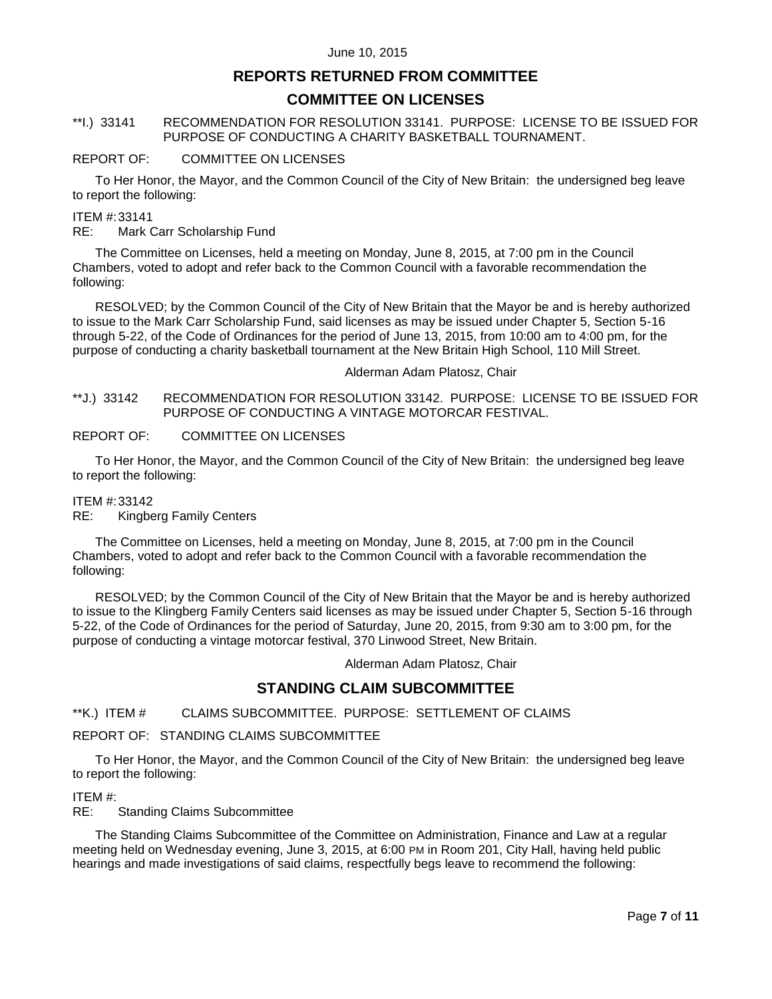# **REPORTS RETURNED FROM COMMITTEE**

## **COMMITTEE ON LICENSES**

### <span id="page-6-0"></span>\*\*I.) 33141 RECOMMENDATION FOR RESOLUTION 33141. PURPOSE: LICENSE TO BE ISSUED FOR PURPOSE OF CONDUCTING A CHARITY BASKETBALL TOURNAMENT.

#### REPORT OF: COMMITTEE ON LICENSES

To Her Honor, the Mayor, and the Common Council of the City of New Britain: the undersigned beg leave to report the following:

#### ITEM #:33141

RE: Mark Carr Scholarship Fund

The Committee on Licenses, held a meeting on Monday, June 8, 2015, at 7:00 pm in the Council Chambers, voted to adopt and refer back to the Common Council with a favorable recommendation the following:

RESOLVED; by the Common Council of the City of New Britain that the Mayor be and is hereby authorized to issue to the Mark Carr Scholarship Fund, said licenses as may be issued under Chapter 5, Section 5-16 through 5-22, of the Code of Ordinances for the period of June 13, 2015, from 10:00 am to 4:00 pm, for the purpose of conducting a charity basketball tournament at the New Britain High School, 110 Mill Street.

#### Alderman Adam Platosz, Chair

<span id="page-6-1"></span>\*\*J.) 33142 RECOMMENDATION FOR RESOLUTION 33142. PURPOSE: LICENSE TO BE ISSUED FOR PURPOSE OF CONDUCTING A VINTAGE MOTORCAR FESTIVAL.

#### REPORT OF: COMMITTEE ON LICENSES

To Her Honor, the Mayor, and the Common Council of the City of New Britain: the undersigned beg leave to report the following:

#### ITEM #:33142

RE: Kingberg Family Centers

The Committee on Licenses, held a meeting on Monday, June 8, 2015, at 7:00 pm in the Council Chambers, voted to adopt and refer back to the Common Council with a favorable recommendation the following:

RESOLVED; by the Common Council of the City of New Britain that the Mayor be and is hereby authorized to issue to the Klingberg Family Centers said licenses as may be issued under Chapter 5, Section 5-16 through 5-22, of the Code of Ordinances for the period of Saturday, June 20, 2015, from 9:30 am to 3:00 pm, for the purpose of conducting a vintage motorcar festival, 370 Linwood Street, New Britain.

Alderman Adam Platosz, Chair

### **STANDING CLAIM SUBCOMMITTEE**

<span id="page-6-2"></span>\*\*K.) ITEM # CLAIMS SUBCOMMITTEE. PURPOSE: SETTLEMENT OF CLAIMS

#### REPORT OF: STANDING CLAIMS SUBCOMMITTEE

To Her Honor, the Mayor, and the Common Council of the City of New Britain: the undersigned beg leave to report the following:

#### ITEM #:

RE: Standing Claims Subcommittee

The Standing Claims Subcommittee of the Committee on Administration, Finance and Law at a regular meeting held on Wednesday evening, June 3, 2015, at 6:00 PM in Room 201, City Hall, having held public hearings and made investigations of said claims, respectfully begs leave to recommend the following: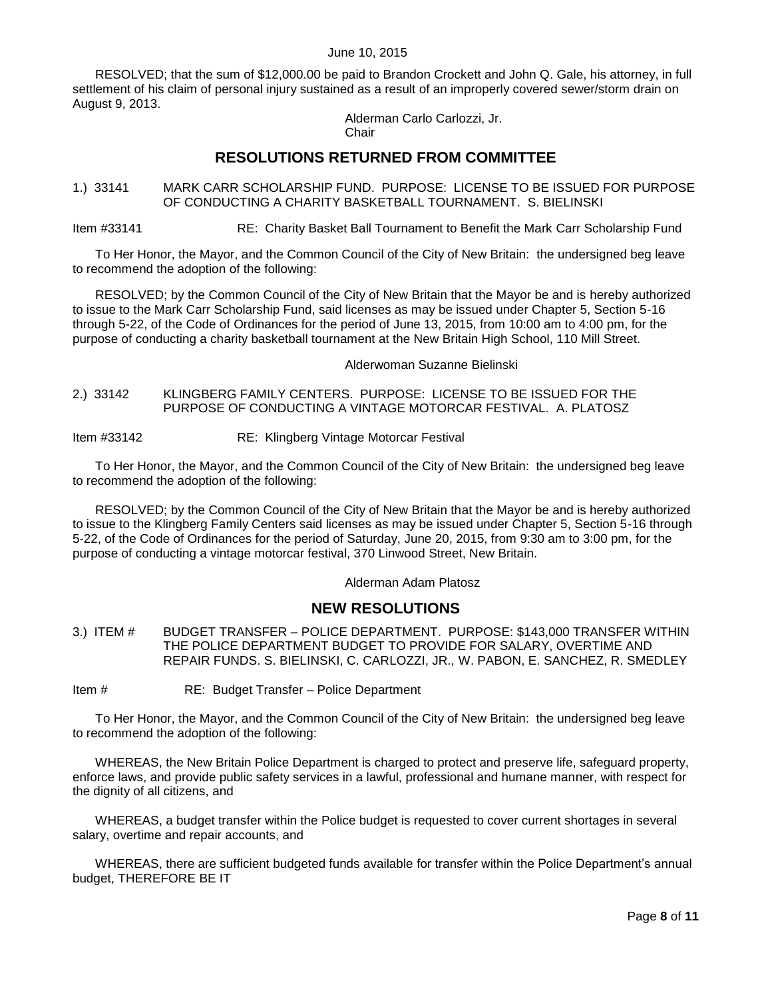RESOLVED; that the sum of \$12,000.00 be paid to Brandon Crockett and John Q. Gale, his attorney, in full settlement of his claim of personal injury sustained as a result of an improperly covered sewer/storm drain on August 9, 2013.

Alderman Carlo Carlozzi, Jr. **Chair** 

# **RESOLUTIONS RETURNED FROM COMMITTEE**

<span id="page-7-0"></span>1.) 33141 MARK CARR SCHOLARSHIP FUND. PURPOSE: LICENSE TO BE ISSUED FOR PURPOSE OF CONDUCTING A CHARITY BASKETBALL TOURNAMENT. S. BIELINSKI

Item #33141 RE: Charity Basket Ball Tournament to Benefit the Mark Carr Scholarship Fund

To Her Honor, the Mayor, and the Common Council of the City of New Britain: the undersigned beg leave to recommend the adoption of the following:

RESOLVED; by the Common Council of the City of New Britain that the Mayor be and is hereby authorized to issue to the Mark Carr Scholarship Fund, said licenses as may be issued under Chapter 5, Section 5-16 through 5-22, of the Code of Ordinances for the period of June 13, 2015, from 10:00 am to 4:00 pm, for the purpose of conducting a charity basketball tournament at the New Britain High School, 110 Mill Street.

Alderwoman Suzanne Bielinski

<span id="page-7-1"></span>2.) 33142 KLINGBERG FAMILY CENTERS. PURPOSE: LICENSE TO BE ISSUED FOR THE PURPOSE OF CONDUCTING A VINTAGE MOTORCAR FESTIVAL. A. PLATOSZ

Item #33142 RE: Klingberg Vintage Motorcar Festival

To Her Honor, the Mayor, and the Common Council of the City of New Britain: the undersigned beg leave to recommend the adoption of the following:

RESOLVED; by the Common Council of the City of New Britain that the Mayor be and is hereby authorized to issue to the Klingberg Family Centers said licenses as may be issued under Chapter 5, Section 5-16 through 5-22, of the Code of Ordinances for the period of Saturday, June 20, 2015, from 9:30 am to 3:00 pm, for the purpose of conducting a vintage motorcar festival, 370 Linwood Street, New Britain.

Alderman Adam Platosz

# **NEW RESOLUTIONS**

<span id="page-7-2"></span>3.) ITEM # BUDGET TRANSFER – POLICE DEPARTMENT. PURPOSE: \$143,000 TRANSFER WITHIN THE POLICE DEPARTMENT BUDGET TO PROVIDE FOR SALARY, OVERTIME AND REPAIR FUNDS. S. BIELINSKI, C. CARLOZZI, JR., W. PABON, E. SANCHEZ, R. SMEDLEY

Item # RE: Budget Transfer – Police Department

To Her Honor, the Mayor, and the Common Council of the City of New Britain: the undersigned beg leave to recommend the adoption of the following:

WHEREAS, the New Britain Police Department is charged to protect and preserve life, safeguard property, enforce laws, and provide public safety services in a lawful, professional and humane manner, with respect for the dignity of all citizens, and

WHEREAS, a budget transfer within the Police budget is requested to cover current shortages in several salary, overtime and repair accounts, and

WHEREAS, there are sufficient budgeted funds available for transfer within the Police Department's annual budget, THEREFORE BE IT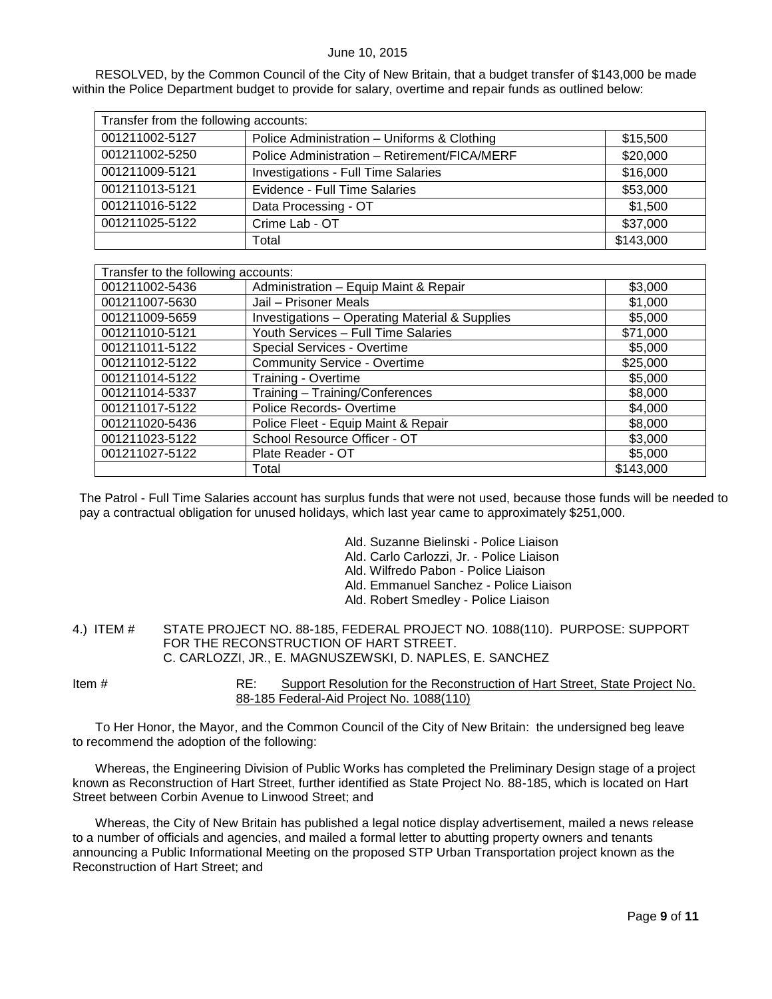RESOLVED, by the Common Council of the City of New Britain, that a budget transfer of \$143,000 be made within the Police Department budget to provide for salary, overtime and repair funds as outlined below:

| Transfer from the following accounts: |                                              |           |  |
|---------------------------------------|----------------------------------------------|-----------|--|
| 001211002-5127                        | Police Administration - Uniforms & Clothing  | \$15,500  |  |
| 001211002-5250                        | Police Administration - Retirement/FICA/MERF | \$20,000  |  |
| 001211009-5121                        | Investigations - Full Time Salaries          | \$16,000  |  |
| 001211013-5121                        | Evidence - Full Time Salaries                | \$53,000  |  |
| 001211016-5122                        | Data Processing - OT                         | \$1,500   |  |
| 001211025-5122                        | Crime Lab - OT                               | \$37,000  |  |
|                                       | Total                                        | \$143,000 |  |

| Transfer to the following accounts: |                                                           |           |  |
|-------------------------------------|-----------------------------------------------------------|-----------|--|
| 001211002-5436                      | Administration - Equip Maint & Repair                     | \$3,000   |  |
| 001211007-5630                      | Jail - Prisoner Meals                                     | \$1,000   |  |
| 001211009-5659                      | <b>Investigations - Operating Material &amp; Supplies</b> | \$5,000   |  |
| 001211010-5121                      | Youth Services - Full Time Salaries                       | \$71,000  |  |
| 001211011-5122                      | Special Services - Overtime                               | \$5,000   |  |
| 001211012-5122                      | <b>Community Service - Overtime</b>                       | \$25,000  |  |
| 001211014-5122                      | Training - Overtime                                       | \$5,000   |  |
| 001211014-5337                      | Training - Training/Conferences                           | \$8,000   |  |
| 001211017-5122                      | Police Records-Overtime                                   | \$4,000   |  |
| 001211020-5436                      | Police Fleet - Equip Maint & Repair                       | \$8,000   |  |
| 001211023-5122                      | School Resource Officer - OT                              | \$3,000   |  |
| 001211027-5122                      | Plate Reader - OT                                         | \$5,000   |  |
|                                     | Total                                                     | \$143,000 |  |

The Patrol - Full Time Salaries account has surplus funds that were not used, because those funds will be needed to pay a contractual obligation for unused holidays, which last year came to approximately \$251,000.

- Ald. Suzanne Bielinski Police Liaison Ald. Carlo Carlozzi, Jr. - Police Liaison
- Ald. Wilfredo Pabon Police Liaison
- Ald. Emmanuel Sanchez Police Liaison
- 
- Ald. Robert Smedley Police Liaison
- <span id="page-8-0"></span>4.) ITEM # STATE PROJECT NO. 88-185, FEDERAL PROJECT NO. 1088(110). PURPOSE: SUPPORT FOR THE RECONSTRUCTION OF HART STREET. C. CARLOZZI, JR., E. MAGNUSZEWSKI, D. NAPLES, E. SANCHEZ

Item # RE: Support Resolution for the Reconstruction of Hart Street, State Project No. 88-185 Federal-Aid Project No. 1088(110)

To Her Honor, the Mayor, and the Common Council of the City of New Britain: the undersigned beg leave to recommend the adoption of the following:

Whereas, the Engineering Division of Public Works has completed the Preliminary Design stage of a project known as Reconstruction of Hart Street, further identified as State Project No. 88-185, which is located on Hart Street between Corbin Avenue to Linwood Street; and

Whereas, the City of New Britain has published a legal notice display advertisement, mailed a news release to a number of officials and agencies, and mailed a formal letter to abutting property owners and tenants announcing a Public Informational Meeting on the proposed STP Urban Transportation project known as the Reconstruction of Hart Street; and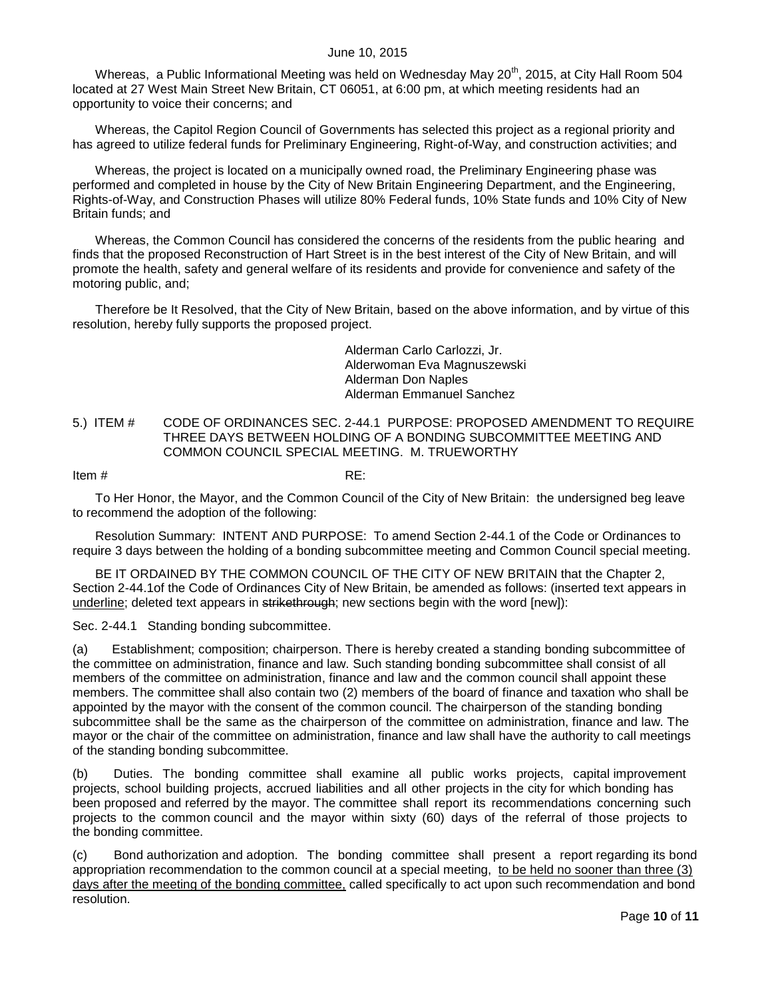Whereas, a Public Informational Meeting was held on Wednesday May 20<sup>th</sup>, 2015, at City Hall Room 504 located at 27 West Main Street New Britain, CT 06051, at 6:00 pm, at which meeting residents had an opportunity to voice their concerns; and

Whereas, the Capitol Region Council of Governments has selected this project as a regional priority and has agreed to utilize federal funds for Preliminary Engineering, Right-of-Way, and construction activities; and

Whereas, the project is located on a municipally owned road, the Preliminary Engineering phase was performed and completed in house by the City of New Britain Engineering Department, and the Engineering, Rights-of-Way, and Construction Phases will utilize 80% Federal funds, 10% State funds and 10% City of New Britain funds; and

Whereas, the Common Council has considered the concerns of the residents from the public hearing and finds that the proposed Reconstruction of Hart Street is in the best interest of the City of New Britain, and will promote the health, safety and general welfare of its residents and provide for convenience and safety of the motoring public, and;

Therefore be It Resolved, that the City of New Britain, based on the above information, and by virtue of this resolution, hereby fully supports the proposed project.

> Alderman Carlo Carlozzi, Jr. Alderwoman Eva Magnuszewski Alderman Don Naples Alderman Emmanuel Sanchez

#### <span id="page-9-0"></span>5.) ITEM # CODE OF ORDINANCES SEC. 2-44.1 PURPOSE: PROPOSED AMENDMENT TO REQUIRE THREE DAYS BETWEEN HOLDING OF A BONDING SUBCOMMITTEE MEETING AND COMMON COUNCIL SPECIAL MEETING. M. TRUEWORTHY

Item  $\#$  RE:

To Her Honor, the Mayor, and the Common Council of the City of New Britain: the undersigned beg leave to recommend the adoption of the following:

Resolution Summary: INTENT AND PURPOSE: To amend Section 2-44.1 of the Code or Ordinances to require 3 days between the holding of a bonding subcommittee meeting and Common Council special meeting.

BE IT ORDAINED BY THE COMMON COUNCIL OF THE CITY OF NEW BRITAIN that the Chapter 2, Section 2-44.1of the Code of Ordinances City of New Britain, be amended as follows: (inserted text appears in underline; deleted text appears in strikethrough; new sections begin with the word [new]):

Sec. 2-44.1 Standing bonding subcommittee.

(a) Establishment; composition; chairperson. There is hereby created a standing bonding subcommittee of the committee on administration, finance and law. Such standing bonding subcommittee shall consist of all members of the committee on administration, finance and law and the common council shall appoint these members. The committee shall also contain two (2) members of the board of finance and taxation who shall be appointed by the mayor with the consent of the common council. The chairperson of the standing bonding subcommittee shall be the same as the chairperson of the committee on administration, finance and law. The mayor or the chair of the committee on administration, finance and law shall have the authority to call meetings of the standing bonding subcommittee.

(b) Duties. The bonding committee shall examine all public works projects, capital improvement projects, school building projects, accrued liabilities and all other projects in the city for which bonding has been proposed and referred by the mayor. The committee shall report its recommendations concerning such projects to the common council and the mayor within sixty (60) days of the referral of those projects to the bonding committee.

(c) Bond authorization and adoption. The bonding committee shall present a report regarding its bond appropriation recommendation to the common council at a special meeting, to be held no sooner than three (3) days after the meeting of the bonding committee, called specifically to act upon such recommendation and bond resolution.